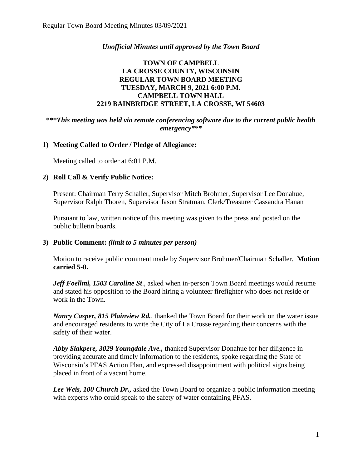## *Unofficial Minutes until approved by the Town Board*

## **TOWN OF CAMPBELL LA CROSSE COUNTY, WISCONSIN REGULAR TOWN BOARD MEETING TUESDAY, MARCH 9, 2021 6:00 P.M. CAMPBELL TOWN HALL 2219 BAINBRIDGE STREET, LA CROSSE, WI 54603**

## **\*\*\****This meeting was held via remote conferencing software due to the current public health emergency\*\*\**

## **1) Meeting Called to Order / Pledge of Allegiance:**

Meeting called to order at 6:01 P.M.

## **2) Roll Call & Verify Public Notice:**

Present: Chairman Terry Schaller, Supervisor Mitch Brohmer, Supervisor Lee Donahue, Supervisor Ralph Thoren, Supervisor Jason Stratman, Clerk/Treasurer Cassandra Hanan

Pursuant to law, written notice of this meeting was given to the press and posted on the public bulletin boards.

## **3) Public Comment:** *(limit to 5 minutes per person)*

Motion to receive public comment made by Supervisor Brohmer/Chairman Schaller. **Motion carried 5-0.**

*Jeff Foellmi, 1503 Caroline St*., asked when in-person Town Board meetings would resume and stated his opposition to the Board hiring a volunteer firefighter who does not reside or work in the Town.

*Nancy Casper, 815 Plainview Rd.*, thanked the Town Board for their work on the water issue and encouraged residents to write the City of La Crosse regarding their concerns with the safety of their water.

*Abby Siakpere, 3029 Youngdale Ave.,* thanked Supervisor Donahue for her diligence in providing accurate and timely information to the residents, spoke regarding the State of Wisconsin's PFAS Action Plan, and expressed disappointment with political signs being placed in front of a vacant home.

*Lee Weis, 100 Church Dr.,* asked the Town Board to organize a public information meeting with experts who could speak to the safety of water containing PFAS.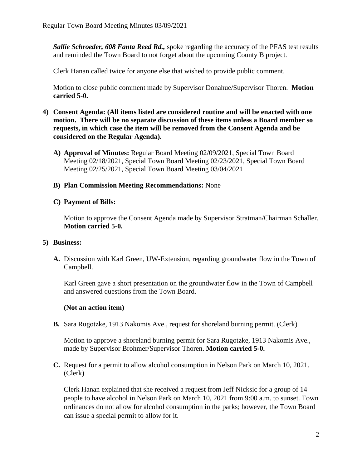*Sallie Schroeder, 608 Fanta Reed Rd.,* spoke regarding the accuracy of the PFAS test results and reminded the Town Board to not forget about the upcoming County B project.

Clerk Hanan called twice for anyone else that wished to provide public comment.

Motion to close public comment made by Supervisor Donahue/Supervisor Thoren. **Motion carried 5-0.**

- **4) Consent Agenda: (All items listed are considered routine and will be enacted with one motion. There will be no separate discussion of these items unless a Board member so requests, in which case the item will be removed from the Consent Agenda and be considered on the Regular Agenda).**
	- **A) Approval of Minutes:** Regular Board Meeting 02/09/2021, Special Town Board Meeting 02/18/2021, Special Town Board Meeting 02/23/2021, Special Town Board Meeting 02/25/2021, Special Town Board Meeting 03/04/2021

## **B) Plan Commission Meeting Recommendations:** None

## **C) Payment of Bills:**

Motion to approve the Consent Agenda made by Supervisor Stratman/Chairman Schaller. **Motion carried 5-0.**

## **5) Business:**

**A.** Discussion with Karl Green, UW-Extension, regarding groundwater flow in the Town of Campbell.

Karl Green gave a short presentation on the groundwater flow in the Town of Campbell and answered questions from the Town Board.

## **(Not an action item)**

**B.** Sara Rugotzke, 1913 Nakomis Ave., request for shoreland burning permit. (Clerk)

Motion to approve a shoreland burning permit for Sara Rugotzke, 1913 Nakomis Ave., made by Supervisor Brohmer/Supervisor Thoren. **Motion carried 5-0.**

**C.** Request for a permit to allow alcohol consumption in Nelson Park on March 10, 2021. (Clerk)

Clerk Hanan explained that she received a request from Jeff Nicksic for a group of 14 people to have alcohol in Nelson Park on March 10, 2021 from 9:00 a.m. to sunset. Town ordinances do not allow for alcohol consumption in the parks; however, the Town Board can issue a special permit to allow for it.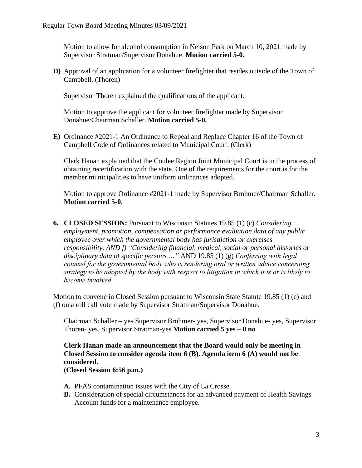Motion to allow for alcohol consumption in Nelson Park on March 10, 2021 made by Supervisor Stratman/Supervisor Donahue. **Motion carried 5-0.** 

**D)** Approval of an application for a volunteer firefighter that resides outside of the Town of Campbell. (Thoren)

Supervisor Thoren explained the qualifications of the applicant.

Motion to approve the applicant for volunteer firefighter made by Supervisor Donahue/Chairman Schaller. **Motion carried 5-0.**

**E)** Ordinance #2021-1 An Ordinance to Repeal and Replace Chapter 16 of the Town of Campbell Code of Ordinances related to Municipal Court. (Clerk)

Clerk Hanan explained that the Coulee Region Joint Municipal Court is in the process of obtaining recertification with the state. One of the requirements for the court is for the member municipalities to have uniform ordinances adopted.

Motion to approve Ordinance #2021-1 made by Supervisor Brohmer/Chairman Schaller. **Motion carried 5-0.**

**6. CLOSED SESSION:** Pursuant to Wisconsin Statutes 19.85 (1) (c) *Considering employment, promotion, compensation or performance evaluation data of any public employee over which the governmental body has jurisdiction or exercises responsibility. AND f) "Considering financial, medical, social or personal histories or disciplinary data of specific persons…."* AND 19.85 (1) (g) *Conferring with legal counsel for the governmental body who is rendering oral or written advice concerning strategy to be adopted by the body with respect to litigation in which it is or is likely to become involved.*

Motion to convene in Closed Session pursuant to Wisconsin State Statute 19.85 (1) (c) and (f) on a roll call vote made by Supervisor Stratman/Supervisor Donahue.

Chairman Schaller – yes Supervisor Brohmer- yes, Supervisor Donahue- yes, Supervisor Thoren- yes, Supervisor Stratman-yes **Motion carried 5 yes – 0 no** 

**Clerk Hanan made an announcement that the Board would only be meeting in Closed Session to consider agenda item 6 (B). Agenda item 6 (A) would not be considered.** 

**(Closed Session 6:56 p.m.)** 

- **A.** PFAS contamination issues with the City of La Crosse.
- **B.** Consideration of special circumstances for an advanced payment of Health Savings Account funds for a maintenance employee.